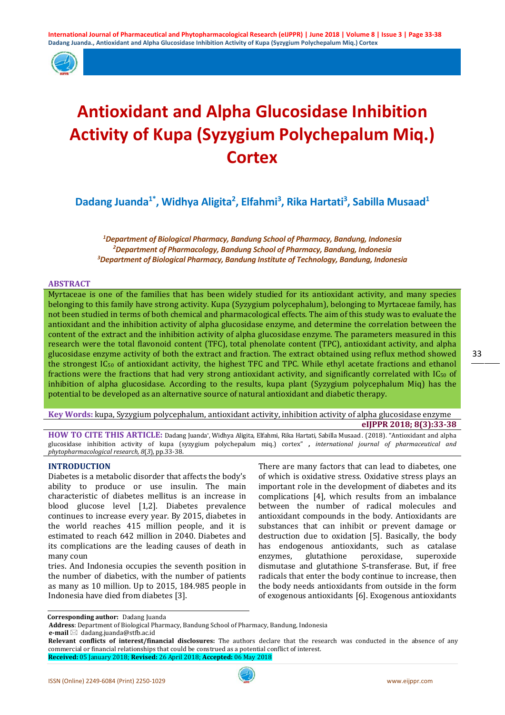

# **Antioxidant and Alpha Glucosidase Inhibition Activity of Kupa (Syzygium Polychepalum Miq.) Cortex**

Dadang Juanda<sup>1\*</sup>, Widhya Aligita<sup>2</sup>, Elfahmi<sup>3</sup>, Rika Hartati<sup>3</sup>, Sabilla Musaad<sup>1</sup>

*1 Department of Biological Pharmacy, Bandung School of Pharmacy, Bandung, Indonesia 2 Department of Pharmacology, Bandung School of Pharmacy, Bandung, Indonesia 3 Department of Biological Pharmacy, Bandung Institute of Technology, Bandung, Indonesia*

#### **ABSTRACT**

Myrtaceae is one of the families that has been widely studied for its antioxidant activity, and many species belonging to this family have strong activity. Kupa (Syzygium polycephalum), belonging to Myrtaceae family, has not been studied in terms of both chemical and pharmacological effects. The aim of this study was to evaluate the antioxidant and the inhibition activity of alpha glucosidase enzyme, and determine the correlation between the content of the extract and the inhibition activity of alpha glucosidase enzyme. The parameters measured in this research were the total flavonoid content (TFC), total phenolate content (TPC), antioxidant activity, and alpha glucosidase enzyme activity of both the extract and fraction. The extract obtained using reflux method showed the strongest IC50 of antioxidant activity, the highest TFC and TPC. While ethyl acetate fractions and ethanol fractions were the fractions that had very strong antioxidant activity, and significantly correlated with IC50 of inhibition of alpha glucosidase. According to the results, kupa plant (Syzygium polycephalum Miq) has the potential to be developed as an alternative source of natural antioxidant and diabetic therapy.

**Key Words:** kupa, Syzygium polycephalum, antioxidant activity, inhibition activity of alpha glucosidase enzyme **eIJPPR 2018; 8(3):33-38**

**HOW TO CITE THIS ARTICLE:** Dadang Juanda\*, Widhya Aligita, Elfahmi, Rika Hartati, Sabilla Musaad . (2018). "Antioxidant and alpha glucosidase inhibition activity of kupa (syzygium polychepalum miq.) cortex" **,** *international journal of pharmaceutical and phytopharmacological research, 8*(*3*), pp.33-38.

# **INTRODUCTION**

Diabetes is a metabolic disorder that affects the body's ability to produce or use insulin. The main characteristic of diabetes mellitus is an increase in blood glucose level [1,2]. Diabetes prevalence continues to increase every year. By 2015, diabetes in the world reaches 415 million people, and it is estimated to reach 642 million in 2040. Diabetes and its complications are the leading causes of death in many coun

tries. And Indonesia occupies the seventh position in the number of diabetics, with the number of patients as many as 10 million. Up to 2015, 184.985 people in Indonesia have died from diabetes [3].

There are many factors that can lead to diabetes, one of which is oxidative stress. Oxidative stress plays an important role in the development of diabetes and its complications [4], which results from an imbalance between the number of radical molecules and antioxidant compounds in the body. Antioxidants are substances that can inhibit or prevent damage or destruction due to oxidation [5]. Basically, the body has endogenous antioxidants, such as catalase glutathione dismutase and glutathione S-transferase. But, if free radicals that enter the body continue to increase, then the body needs antioxidants from outside in the form of exogenous antioxidants [6]. Exogenous antioxidants

**Corresponding author:** Dadang Juanda

**e-mail** ⊠ dadang.juanda@stfb.ac.id

**Address**: Department of Biological Pharmacy, Bandung School of Pharmacy, Bandung, Indonesia

**Relevant conflicts of interest/financial disclosures:** The authors declare that the research was conducted in the absence of any commercial or financial relationships that could be construed as a potential conflict of interest.

**Received:** 05 January 2018; **Revised:** 26 April 2018; **Accepted:** 06 May 2018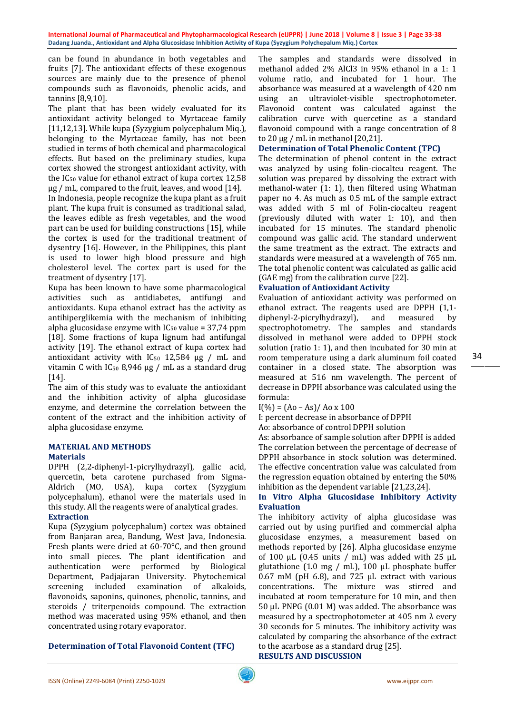#### **International Journal of Pharmaceutical and Phytopharmacological Research (eIJPPR) | June 2018 | Volume 8 | Issue 3 | Page 33-38 Dadang Juanda., Antioxidant and Alpha Glucosidase Inhibition Activity of Kupa (Syzygium Polychepalum Miq.) Cortex**

can be found in abundance in both vegetables and fruits [7]. The antioxidant effects of these exogenous sources are mainly due to the presence of phenol compounds such as flavonoids, phenolic acids, and tannins [8,9,10].

The plant that has been widely evaluated for its antioxidant activity belonged to Myrtaceae family [11,12,13]. While kupa (Syzygium polycephalum Miq.), belonging to the Myrtaceae family, has not been studied in terms of both chemical and pharmacological effects. But based on the preliminary studies, kupa cortex showed the strongest antioxidant activity, with the IC50 value for ethanol extract of kupa cortex 12,58 μg / mL, compared to the fruit, leaves, and wood [14].

In Indonesia, people recognize the kupa plant as a fruit plant. The kupa fruit is consumed as traditional salad, the leaves edible as fresh vegetables, and the wood part can be used for building constructions [15], while the cortex is used for the traditional treatment of dysentry [16]. However, in the Philippines, this plant is used to lower high blood pressure and high cholesterol level. The cortex part is used for the treatment of dysentry [17].

Kupa has been known to have some pharmacological activities such as antidiabetes, antifungi and antioxidants. Kupa ethanol extract has the activity as antihiperglikemia with the mechanism of inhibiting alpha glucosidase enzyme with  $IC_{50}$  value = 37,74 ppm [18]. Some fractions of kupa lignum had antifungal activity [19]. The ethanol extract of kupa cortex had antioxidant activity with  $IC_{50}$  12,584  $\mu$ g / mL and vitamin C with  $IC_{50}$  8,946 μg / mL as a standard drug [14].

The aim of this study was to evaluate the antioxidant and the inhibition activity of alpha glucosidase enzyme, and determine the correlation between the content of the extract and the inhibition activity of alpha glucosidase enzyme.

# **MATERIAL AND METHODS Materials**

DPPH (2,2-diphenyl-1-picrylhydrazyl), gallic acid, quercetin, beta carotene purchased from Sigma-Aldrich (MO, USA), kupa cortex (Syzygium polycephalum), ethanol were the materials used in this study. All the reagents were of analytical grades.

# **Extraction**

Kupa (Syzygium polycephalum) cortex was obtained from Banjaran area, Bandung, West Java, Indonesia. Fresh plants were dried at 60-70°C, and then ground into small pieces. The plant identification and authentication were performed by Department, Padjajaran University. Phytochemical screening included examination flavonoids, saponins, quinones, phenolic, tannins, and steroids / triterpenoids compound. The extraction method was macerated using 95% ethanol, and then concentrated using rotary evaporator.

# **Determination of Total Flavonoid Content (TFC)**

The samples and standards were dissolved in methanol added 2% AlCl3 in 95% ethanol in a 1: 1 volume ratio, and incubated for 1 hour. The absorbance was measured at a wavelength of 420 nm using an ultraviolet-visible spectrophotometer. Flavonoid content was calculated against the calibration curve with quercetine as a standard flavonoid compound with a range concentration of 8 to 20 μg / mL in methanol [20,21].

# **Determination of Total Phenolic Content (TPC)**

The determination of phenol content in the extract was analyzed by using folin-ciocalteu reagent. The solution was prepared by dissolving the extract with methanol-water (1: 1), then filtered using Whatman paper no 4. As much as 0.5 mL of the sample extract was added with 5 ml of Folin-ciocalteu reagent (previously diluted with water 1: 10), and then incubated for 15 minutes. The standard phenolic compound was gallic acid. The standard underwent the same treatment as the extract. The extracts and standards were measured at a wavelength of 765 nm. The total phenolic content was calculated as gallic acid (GAE mg) from the calibration curve [22].

### **Evaluation of Antioxidant Activity**

Evaluation of antioxidant activity was performed on ethanol extract. The reagents used are DPPH (1,1-<br>diphenyl-2-picrylhydrazyl). and measured by diphenyl-2-picrylhydrazyl), and measured by spectrophotometry. The samples and standards dissolved in methanol were added to DPPH stock solution (ratio 1: 1), and then incubated for 30 min at room temperature using a dark aluminum foil coated container in a closed state. The absorption was measured at 516 nm wavelength. The percent of decrease in DPPH absorbance was calculated using the formula:

 $I(\%) = (A_0 - As)/A_0 \times 100$ 

I: percent decrease in absorbance of DPPH

Ao: absorbance of control DPPH solution

As: absorbance of sample solution after DPPH is added The correlation between the percentage of decrease of DPPH absorbance in stock solution was determined. The effective concentration value was calculated from the regression equation obtained by entering the 50% inhibition as the dependent variable [21,23,24].

# **In Vitro Alpha Glucosidase Inhibitory Activity Evaluation**

The inhibitory activity of alpha glucosidase was carried out by using purified and commercial alpha glucosidase enzymes, a measurement based on methods reported by [26]. Alpha glucosidase enzyme of 100 μL (0.45 units / mL) was added with 25 μL glutathione (1.0 mg / mL), 100 μL phosphate buffer 0.67 mM (pH 6.8), and 725 μL extract with various concentrations. The mixture was stirred and incubated at room temperature for 10 min, and then 50 μL PNPG (0.01 M) was added. The absorbance was measured by a spectrophotometer at 405 nm  $\lambda$  every 30 seconds for 5 minutes. The inhibitory activity was calculated by comparing the absorbance of the extract to the acarbose as a standard drug [25].

**RESULTS AND DISCUSSION**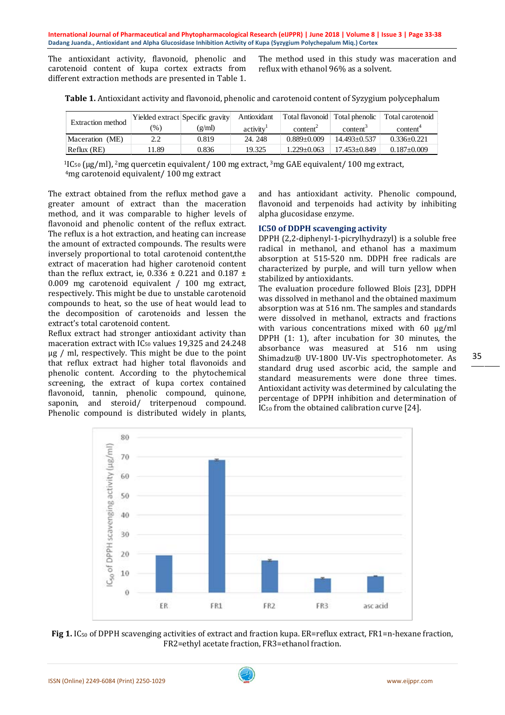The antioxidant activity, flavonoid, phenolic and carotenoid content of kupa cortex extracts from different extraction methods are presented in Table 1.

The method used in this study was maceration and reflux with ethanol 96% as a solvent.

| Extraction method |      | Yielded extract Specific gravity | Antioxidant           | Total flavonoid Total phenolic |                      | Total carotenoid     |
|-------------------|------|----------------------------------|-----------------------|--------------------------------|----------------------|----------------------|
|                   | (%)  | (g/ml)                           | activity <sup>1</sup> | content <sup>2</sup>           | content <sup>3</sup> | content <sup>*</sup> |
| Maceration (ME)   | 2.2  | 0.819                            | 24.248                | $0.889 + 0.009$                | $14.493 + 0.537$     | $0.336 + 0.221$      |
| Reflux (RE)       | 1.89 | 0.836                            | 19.325                | $1.229 + 0.063$                | $17.453 + 0.849$     | $0.187 + 0.009$      |

**Table 1.** Antioxidant activity and flavonoid, phenolic and carotenoid content of Syzygium polycephalum

<sup>1</sup>IC<sub>50</sub> ( $\mu$ g/ml), <sup>2</sup>mg quercetin equivalent/ 100 mg extract, <sup>3</sup>mg GAE equivalent/ 100 mg extract, <sup>4</sup>mg carotenoid equivalent/ 100 mg extract

The extract obtained from the reflux method gave a greater amount of extract than the maceration method, and it was comparable to higher levels of flavonoid and phenolic content of the reflux extract. The reflux is a hot extraction, and heating can increase the amount of extracted compounds. The results were inversely proportional to total carotenoid content,the extract of maceration had higher carotenoid content than the reflux extract, ie,  $0.336 \pm 0.221$  and  $0.187 \pm$ 0.009 mg carotenoid equivalent / 100 mg extract, respectively. This might be due to unstable carotenoid compounds to heat, so the use of heat would lead to the decomposition of carotenoids and lessen the extract's total carotenoid content.

Reflux extract had stronger antioxidant activity than maceration extract with IC50 values 19,325 and 24.248 μg / ml, respectively. This might be due to the point that reflux extract had higher total flavonoids and phenolic content. According to the phytochemical screening, the extract of kupa cortex contained flavonoid, tannin, phenolic compound, quinone, saponin, and steroid/ triterpenoud compound. Phenolic compound is distributed widely in plants,

and has antioxidant activity. Phenolic compound, flavonoid and terpenoids had activity by inhibiting alpha glucosidase enzyme.

# **IC50 of DDPH scavenging activity**

DPPH (2,2-diphenyl-1-picrylhydrazyl) is a soluble free radical in methanol, and ethanol has a maximum absorption at 515-520 nm. DDPH free radicals are characterized by purple, and will turn yellow when stabilized by antioxidants.

The evaluation procedure followed Blois [23], DDPH was dissolved in methanol and the obtained maximum absorption was at 516 nm. The samples and standards were dissolved in methanol, extracts and fractions with various concentrations mixed with 60 μg/ml DPPH (1: 1), after incubation for 30 minutes, the absorbance was measured at 516 nm using Shimadzu® UV-1800 UV-Vis spectrophotometer. As standard drug used ascorbic acid, the sample and standard measurements were done three times. Antioxidant activity was determined by calculating the percentage of DPPH inhibition and determination of IC50 from the obtained calibration curve [24].





35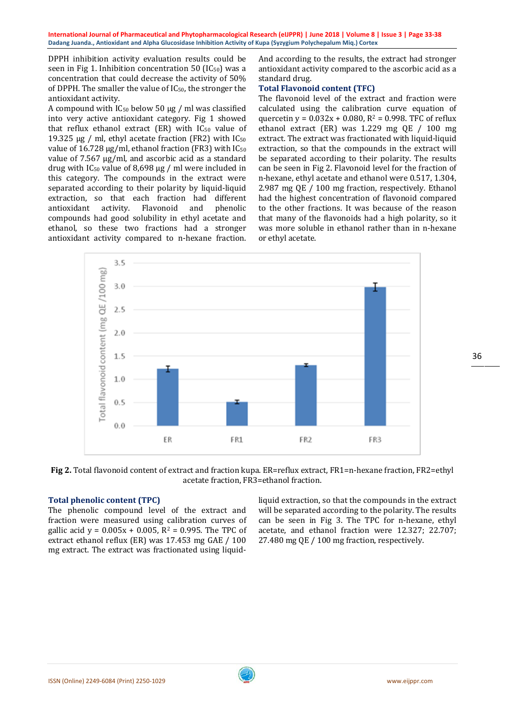**International Journal of Pharmaceutical and Phytopharmacological Research (eIJPPR) | June 2018 | Volume 8 | Issue 3 | Page 33-38 Dadang Juanda., Antioxidant and Alpha Glucosidase Inhibition Activity of Kupa (Syzygium Polychepalum Miq.) Cortex**

DPPH inhibition activity evaluation results could be seen in Fig 1. Inhibition concentration 50 ( $IC_{50}$ ) was a concentration that could decrease the activity of 50% of DPPH. The smaller the value of IC50, the stronger the antioxidant activity.

A compound with  $IC_{50}$  below 50 µg / ml was classified into very active antioxidant category. Fig 1 showed that reflux ethanol extract  $(ER)$  with  $IC_{50}$  value of 19.325 μg / ml, ethyl acetate fraction (FR2) with IC<sub>50</sub> value of 16.728 μg/ml, ethanol fraction (FR3) with IC<sup>50</sup> value of 7.567 μg/ml, and ascorbic acid as a standard drug with  $IC_{50}$  value of 8,698 μg / ml were included in this category. The compounds in the extract were separated according to their polarity by liquid-liquid extraction, so that each fraction had different<br>antioxidant activity. Flavonoid and phenolic antioxidant activity. Flavonoid and compounds had good solubility in ethyl acetate and ethanol, so these two fractions had a stronger antioxidant activity compared to n-hexane fraction.

And according to the results, the extract had stronger antioxidant activity compared to the ascorbic acid as a standard drug.

# **Total Flavonoid content (TFC)**

The flavonoid level of the extract and fraction were calculated using the calibration curve equation of quercetin y =  $0.032x + 0.080$ , R<sup>2</sup> = 0.998. TFC of reflux ethanol extract (ER) was 1.229 mg QE / 100 mg extract. The extract was fractionated with liquid-liquid extraction, so that the compounds in the extract will be separated according to their polarity. The results can be seen in Fig 2. Flavonoid level for the fraction of n-hexane, ethyl acetate and ethanol were 0.517, 1.304, 2.987 mg QE / 100 mg fraction, respectively. Ethanol had the highest concentration of flavonoid compared to the other fractions. It was because of the reason that many of the flavonoids had a high polarity, so it was more soluble in ethanol rather than in n-hexane or ethyl acetate.



**Fig 2.** Total flavonoid content of extract and fraction kupa. ER=reflux extract, FR1=n-hexane fraction, FR2=ethyl acetate fraction, FR3=ethanol fraction.

#### **Total phenolic content (TPC)**

The phenolic compound level of the extract and fraction were measured using calibration curves of gallic acid  $y = 0.005x + 0.005$ ,  $R^2 = 0.995$ . The TPC of extract ethanol reflux (ER) was 17.453 mg GAE / 100 mg extract. The extract was fractionated using liquidliquid extraction, so that the compounds in the extract will be separated according to the polarity. The results can be seen in Fig 3. The TPC for n-hexane, ethyl acetate, and ethanol fraction were 12.327; 22.707; 27.480 mg QE / 100 mg fraction, respectively.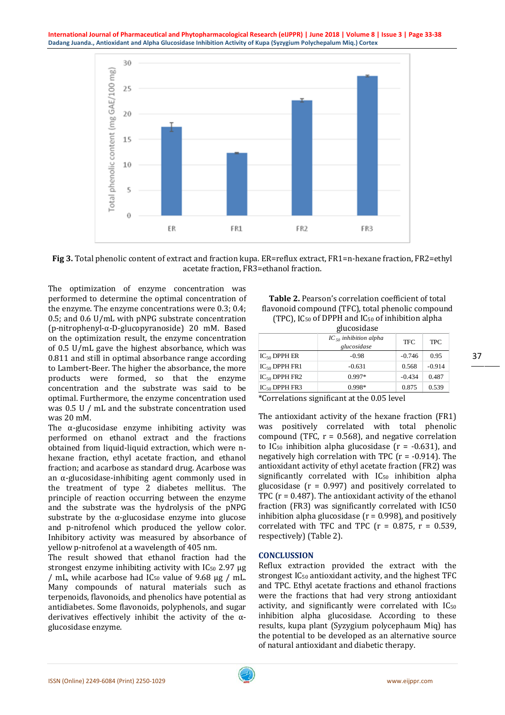

**Fig 3.** Total phenolic content of extract and fraction kupa. ER=reflux extract, FR1=n-hexane fraction, FR2=ethyl acetate fraction, FR3=ethanol fraction.

The optimization of enzyme concentration was performed to determine the optimal concentration of the enzyme. The enzyme concentrations were 0.3; 0.4; 0.5; and 0.6 U/mL with pNPG substrate concentration (p-nitrophenyl-α-D-glucopyranoside) 20 mM. Based on the optimization result, the enzyme concentration of 0.5 U/mL gave the highest absorbance, which was 0.811 and still in optimal absorbance range according to Lambert-Beer. The higher the absorbance, the more products were formed, so that the enzyme concentration and the substrate was said to be optimal. Furthermore, the enzyme concentration used was 0.5 U / mL and the substrate concentration used was 20 mM.

The  $\alpha$ -glucosidase enzyme inhibiting activity was performed on ethanol extract and the fractions obtained from liquid-liquid extraction, which were nhexane fraction, ethyl acetate fraction, and ethanol fraction; and acarbose as standard drug. Acarbose was an α-glucosidase-inhibiting agent commonly used in the treatment of type 2 diabetes mellitus. The principle of reaction occurring between the enzyme and the substrate was the hydrolysis of the pNPG substrate by the  $\alpha$ -glucosidase enzyme into glucose and p-nitrofenol which produced the yellow color. Inhibitory activity was measured by absorbance of yellow p-nitrofenol at a wavelength of 405 nm.

The result showed that ethanol fraction had the strongest enzyme inhibiting activity with  $IC_{50}$  2.97  $\mu$ g / mL, while acarbose had  $IC_{50}$  value of 9.68  $\mu$ g / mL. Many compounds of natural materials such as terpenoids, flavonoids, and phenolics have potential as antidiabetes. Some flavonoids, polyphenols, and sugar derivatives effectively inhibit the activity of the αglucosidase enzyme.

| Table 2. Pearson's correlation coefficient of total        |
|------------------------------------------------------------|
| flavonoid compound (TFC), total phenolic compound          |
| (TPC), $IC_{50}$ of DPPH and $IC_{50}$ of inhibition alpha |

| ziucosidase |  |
|-------------|--|
|             |  |

|                    | $IC_{50}$ inhibition alpha<br>glucosidase | <b>TFC</b> | <b>TPC</b> |  |  |  |
|--------------------|-------------------------------------------|------------|------------|--|--|--|
| $IC_{50}$ DPPH ER  | $-0.98$                                   | $-0.746$   | 0.95       |  |  |  |
| $IC_{50}$ DPPH FR1 | $-0.631$                                  | 0.568      | $-0.914$   |  |  |  |
| $IC_{50}$ DPPH FR2 | $0.997*$                                  | $-0.434$   | 0.487      |  |  |  |
| $IC_{50}$ DPPH FR3 | $0.998*$                                  | 0.875      | 0.539      |  |  |  |

\*Correlations significant at the 0.05 level

The antioxidant activity of the hexane fraction (FR1) was positively correlated with total phenolic compound (TFC,  $r = 0.568$ ), and negative correlation to IC<sub>50</sub> inhibition alpha glucosidase ( $r = -0.631$ ), and negatively high correlation with TPC  $(r = -0.914)$ . The antioxidant activity of ethyl acetate fraction (FR2) was significantly correlated with IC<sub>50</sub> inhibition alpha glucosidase ( $r = 0.997$ ) and positively correlated to TPC  $(r = 0.487)$ . The antioxidant activity of the ethanol fraction (FR3) was significantly correlated with IC50 inhibition alpha glucosidase ( $r = 0.998$ ), and positively correlated with TFC and TPC  $(r = 0.875, r = 0.539, r)$ respectively) (Table 2).

# **CONCLUSSION**

Reflux extraction provided the extract with the strongest  $IC_{50}$  antioxidant activity, and the highest TFC and TPC. Ethyl acetate fractions and ethanol fractions were the fractions that had very strong antioxidant activity, and significantly were correlated with IC<sub>50</sub> inhibition alpha glucosidase. According to these results, kupa plant (Syzygium polycephaum Miq) has the potential to be developed as an alternative source of natural antioxidant and diabetic therapy.

ISSN (Online) 2249-6084 (Print) 2250-1029 www.eijppr.com